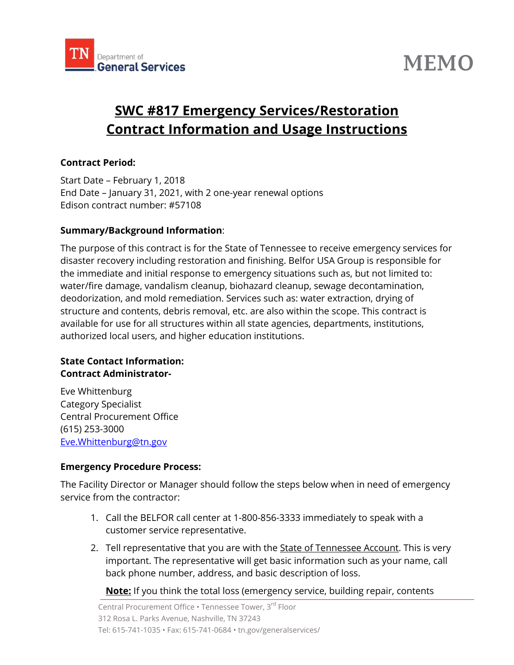

# **MEMO**

# **SWC #817 Emergency Services/Restoration Contract Information and Usage Instructions**

#### **Contract Period:**

Start Date – February 1, 2018 End Date – January 31, 2021, with 2 one-year renewal options Edison contract number: #57108

#### **Summary/Background Information**:

The purpose of this contract is for the State of Tennessee to receive emergency services for disaster recovery including restoration and finishing. Belfor USA Group is responsible for the immediate and initial response to emergency situations such as, but not limited to: water/fire damage, vandalism cleanup, biohazard cleanup, sewage decontamination, deodorization, and mold remediation. Services such as: water extraction, drying of structure and contents, debris removal, etc. are also within the scope. This contract is available for use for all structures within all state agencies, departments, institutions, authorized local users, and higher education institutions.

#### **State Contact Information: Contract Administrator-**

Eve Whittenburg Category Specialist Central Procurement Office (615) 253-3000 [Eve.Whittenburg@tn.gov](mailto:Eve.Whittenburg@tn.gov)

#### **Emergency Procedure Process:**

The Facility Director or Manager should follow the steps below when in need of emergency service from the contractor:

- 1. Call the BELFOR call center at 1-800-856-3333 immediately to speak with a customer service representative.
- 2. Tell representative that you are with the **State of Tennessee Account**. This is very important. The representative will get basic information such as your name, call back phone number, address, and basic description of loss.

**Note:** If you think the total loss (emergency service, building repair, contents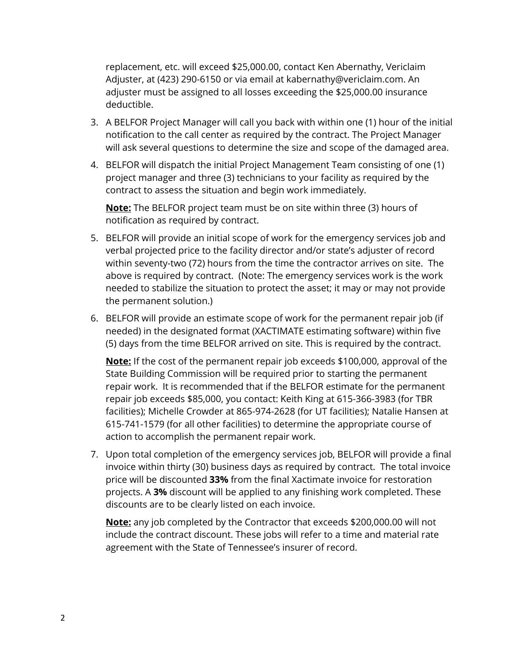replacement, etc. will exceed \$25,000.00, contact Ken Abernathy, Vericlaim Adjuster, at (423) 290-6150 or via email at kabernathy@vericlaim.com. An adjuster must be assigned to all losses exceeding the \$25,000.00 insurance deductible.

- 3. A BELFOR Project Manager will call you back with within one (1) hour of the initial notification to the call center as required by the contract. The Project Manager will ask several questions to determine the size and scope of the damaged area.
- 4. BELFOR will dispatch the initial Project Management Team consisting of one (1) project manager and three (3) technicians to your facility as required by the contract to assess the situation and begin work immediately.

**Note:** The BELFOR project team must be on site within three (3) hours of notification as required by contract.

- 5. BELFOR will provide an initial scope of work for the emergency services job and verbal projected price to the facility director and/or state's adjuster of record within seventy-two (72) hours from the time the contractor arrives on site. The above is required by contract. (Note: The emergency services work is the work needed to stabilize the situation to protect the asset; it may or may not provide the permanent solution.)
- 6. BELFOR will provide an estimate scope of work for the permanent repair job (if needed) in the designated format (XACTIMATE estimating software) within five (5) days from the time BELFOR arrived on site. This is required by the contract.

**Note:** If the cost of the permanent repair job exceeds \$100,000, approval of the State Building Commission will be required prior to starting the permanent repair work. It is recommended that if the BELFOR estimate for the permanent repair job exceeds \$85,000, you contact: Keith King at 615-366-3983 (for TBR facilities); Michelle Crowder at 865-974-2628 (for UT facilities); Natalie Hansen at 615-741-1579 (for all other facilities) to determine the appropriate course of action to accomplish the permanent repair work.

7. Upon total completion of the emergency services job, BELFOR will provide a final invoice within thirty (30) business days as required by contract. The total invoice price will be discounted **33%** from the final Xactimate invoice for restoration projects. A **3%** discount will be applied to any finishing work completed. These discounts are to be clearly listed on each invoice.

**Note:** any job completed by the Contractor that exceeds \$200,000.00 will not include the contract discount. These jobs will refer to a time and material rate agreement with the State of Tennessee's insurer of record.